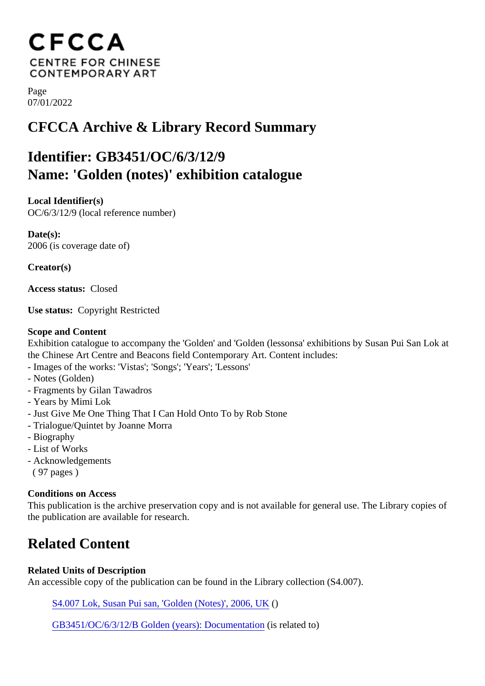Page 07/01/2022

## CFCCA Archive & Library Record Summary

## Identifier: GB3451/OC/6/3/12/9 Name: 'Golden (notes)' exhibition catalogue

Local Identifier(s) OC/6/3/12/9 (local reference number)

Date(s): 2006 (is coverage date of)

Creator(s)

Access status: Closed

Use status: Copyright Restricted

Scope and Content

Exhibition catalogue to accompany the 'Golden' and 'Golden (lessonsa' exhibitions by Susan Pui San Lok at the Chinese Art Centre and Beacons field Contemporary Art. Content includes:

- Images of the works: 'Vistas'; 'Songs'; 'Years'; 'Lessons'
- Notes (Golden)
- Fragments by Gilan Tawadros
- Years by Mimi Lok
- Just Give Me One Thing That I Can Hold Onto To by Rob Stone
- Trialogue/Quintet by Joanne Morra
- Biography
- List of Works
- Acknowledgements
- ( 97 pages )

Conditions on Access

This publication is the archive preservation copy and is not available for general use. The Library copies o the publication are available for research.

## Related Content

Related Units of Description

An accessible copy of the publication can be found in the Library collection (S4.007).

[S4.007 Lok, Susan Pui san, 'Golden \(Notes\)', 2006](/index.php/Detail/library/1930)()UK

[GB3451/OC/6/3/12/B Golden \(years\): Documenta](/index.php/Detail/collections/1693)tion elated to)